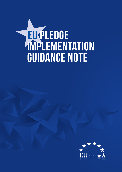

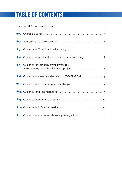### **TABLE OF CONTENTS**

|  | $\star$ 4. Guidance for print and 3rd party internet advertising. 8                   |  |
|--|---------------------------------------------------------------------------------------|--|
|  | $\star$ 5. Guidance for company-owned websites                                        |  |
|  | $\star$ 6. Guidance for cinema and movies on DVD/CD-ROM $\ldots \ldots \ldots \ldots$ |  |
|  |                                                                                       |  |
|  |                                                                                       |  |
|  |                                                                                       |  |
|  |                                                                                       |  |
|  |                                                                                       |  |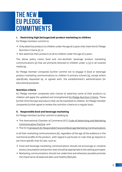### **THE NEW EU PLEDGE COMMITMENTS**

#### **I. Restricting high fat/sugar/salt product marketing to children**

EU Pledge members commit to:

- $\star$  Only advertise products to children under the age of 13 years that meet the EU Pledge Nutrition Criteria [1]; or
- $\star$  Not advertise their products at all to children under the age of 13 years.

The above policy covers food and non-alcoholic beverage product marketing communications [2] that are primarily directed to children under 13 [3] in all covered media [4].

EU Pledge member companies further commit not to engage in food or beverage product marketing communications to children in primary schools [5], except where specifically requested by, or agreed with, the establishment's administration for educational purposes.

#### **Nutrition criteria**

EU Pledge member companies who choose to advertise some of their products to children will apply the updated and strengthened [EU Pledge Nutrition Criteria](https://eu-pledge.eu/eu-pledge-nutrition-criteria/). These further limit the type of products that can be marketed to children. EU Pledge member companies further agree to review the nutrition criteria on a regular basis.

#### **II. Responsible food and beverage marketing**

EU Pledge members further commit to abiding by:

- $\star$  The International Chamber of Commerce (ICC) Code of Advertising and Marketing [Communication Practice](https://iccwbo.org/content/uploads/sites/3/2018/09/icc-advertising-and-marketing-communications-code-int.pdf); and
- $\star$  The ICC [Framework for Responsible Food and Beverage Marketing Communications](https://iccwbo.org/content/uploads/sites/3/2019/08/icc-framework-for-responsible-food-and-beverage-marketing-communications-2019.pdf)

in all their marketing communications [6], regardless of the age of the audience or the nutritional profile of the product, with regard in particular to rules that go beyond or are more specific than EU law, such as:

- $\star$  Food and beverage marketing communications should not encourage or condone excess consumption and portion sizes should be appropriate to the setting portrayed.
- $\star$  Marketing communications should not undermine and wherever possible promote the importance of balanced diets and healthy lifestyles.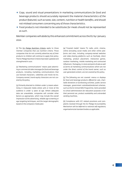- $\star$  Copy, sound and visual presentations in marketing communications for food and beverage products should accurately represent the material characteristics of the product featured, such as taste, size, content, nutrition or health benefits, and should not mislead consumers concerning any of those characteristics.
- $\star$  Food products not intended to be substitutes for meals should not be represented as such.

Member companies will abide by this enhanced commitment across the EU by 1 January 2022.

[1] The [EU Pledge Nutrition Criteria](https://eu-pledge.eu/eu-pledge-nutrition-criteria/) apply to those member companies that use nutrition criteria. Those companies that do not currently advertise any of their products to children will continue to apply that policy. The EU Pledge Nutrition Criteria have been updated and strengthened in 2021.

[2] "Marketing communications" means paid advertising or commercial sales messages for food and beverage products, including marketing communications that use licensed characters, celebrities and movie tie-ins. Company-owned, brand equity characters are not covered by the policy.

[3] Primarily directed to children under 13 means advertising in measured media where 30% or more of the audience is under 13 years of age. Where adequate data are unavailable, companies will consider other factors as appropriate, which may include the overall impression of the advertising, reliable age-screening or age-targeting techniques, and the target demographic based on the company's media plan.

[4] "Covered media" means TV, radio, print, cinema, online (including social media and other online platforms and sites, including company-owned websites and video-sharing platforms such as YouTube), direct marketing, product placement, interactive games, outdoor marketing, mobile marketing and contracted influencers. Packaging, in-store and point of sale as well as forms of marketing communications which are not under the direct control of the brand owner, such as user-generated content, are not covered by this policy.

[5] The following are not covered: menus or displays for food and beverage products offered for sale, charitable donations or fundraising activities, public service messages, government subsidized/endorsed schemes, such as the EU School Milk Programme, items provided to school administrators for education purposes or for their personal use, product availability and unbranded vending machines.

[6] Compliance with ICC related provisions and complaints received through the EU Pledge Accountability Mechanism will be deferred to national self-regulatory organisations/ad standard bodies as applicable.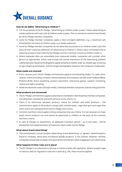

#### **How do we define "advertising to children"?**

- $\star$  For the purposes of the EU Pledge, "advertising to children under 13 years" means advertising to media audiences with over 30% of children under 13 years. This is a minimum common benchmark for all EU Pledge member companies.
- $\star$  Some EU Pledge member companies apply a more stringent definition, e.g. a maximum 25% threshold for the share of children under 13 in media audiences.
- $\star$  Some EU Pledge member companies do not advertise any products to children under 13 (on the basis of their corporate definition of "advertising to children"). Others have committed only to advertise products that meet the EU Pledge common nutrition criteria to children under 13.
- $\star$  Where adequate data are unavailable (non-measured media), companies will consider other factors as appropriate, which may include the overall impression of the advertising *(content/ creative execution should not be designed to appeal primarily to children under 13)*, reliable age-screening or age-targeting techniques, and the target demographic based on the company's media plan.

#### **What media are covered?**

- $\star$  From 1 January 2017, the EU Pledge commitments apply to the following media: TV, radio, print, cinema, online (including company-owned websites and company-owned social media profiles), DVD/CD-ROM, direct marketing, product placement, interactive games, outdoor marketing, mobile and SMS marketing.
- $\star$  While the above list covers all major media, individual member companies' policies may go further.

#### **What products are concerned?**

- $\star$  The EU Pledge commitments apply to all products marketed or distributed by member companies, including their subsidiaries and joint ventures across the EU-27.
- $\star$  There is no distinction between products meant for children and other products the commitments apply to all products except plain bottled water, sugar-free gum and sugar-free mints which are exempted from the EU Pledge restrictions.
- $\star$  Common nutrition criteria apply to those companies that use criteria. It is not necessary to make public which products can and cannot be advertised to children on the basis of the common nutrition criteria.
- $\star$  In case of mergers or acquisitions, an adequate transition period up to two years will be allowed for the implementation of measures taken under the EU Pledge.

#### **What about brand advertising?**

 $\star$  The commitments concern product advertising; brand advertising, i.e. "generic" advertising for a brand or company, which does not feature specific products, is not covered. However, member companies should seek to respect the spirit of the commitment when engaging in such advertising.

#### **What happens if other rules are in place?**

 $\star$  The EU Pledge is no substitute to the law or industry-wide self-regulation. Where tougher legal or industry self-/co-regulatory rules are in place (e.g. UK), these must be applied.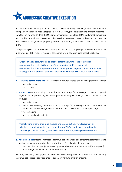

In non-measured media (i.e. print, cinema, online - including company-owned websites and company-owned social media profiles -, direct marketing, product placement, interactive games – whether online or on DVD/CD-ROM -, outdoor marketing, mobile and SMS marketing), companies will consider, in addition to placement, the overall impression of the advertising, actions taken to restrict child access (where appropriate) and the target demographic based on the company's media plan.

The following checklist is intended as a decision-tree for assessing compliance in this regard on all platforms listed above and is referenced as appropriate in platform-specific sections below.

Criterion 1 and 2 below should be used to determine whether the commercial communication is within the scope of the commitment. If the commercial communication does not promote products – as opposed to generic brand promotion – or only promotes products that meet the common nutrition criteria, it is not in scope.

- **1. Marketing communications:** Does the medium feature one or several marketing communications?  $\mapsto$  If not, out of scope
	- $\mapsto$  If yes, in scope
- **2. Product: a)** Is the marketing communication promoting a food/beverage product (as opposed to generic brand promotion), i.e. does it feature not only a brand logo or character, but actual products?
	- $\mapsto$  If not, out of scope.
	- $\rightarrow$  If yes, is the marketing communication promoting a food/beverage product that meets the common nutrition criteria (wherever these are applied by the advertiser in question)?
	- $\mapsto$  If yes: compliant.
	- $\rightarrow$  If not, check following criteria.

The following criteria should be checked one by one, but an overall judgment on whether the product marketing communication(s) is/are designed to be primarily appealing to children under 13, should be taken at the end, having reviewed criteria 3-8.

- **3. Age-screening:** Does the marketing communication have an age-screening/parental consent mechanism aimed at verifying the age of visitors before allowing them access?
	- $\rightarrow$  If yes: Describe the type of age-screening/parental consent mechanism used (e.g. request for date of birth, requirement for parental consent…).

Note: Age screening is helpful, but should not be considered sufficient for compliance if the marketing communications are clearly designed to appeal primarily to children under 12.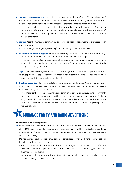- **4. Licensed characters/tie-ins:** Does the marketing communication feature "licensed characters" (i.e. characters acquired externally, linked to movies/entertainment, e.g. Shrek, Harry Potter, Indiana Jones) or movie tie-ins used as a means to promote a food/beverage product?
	- $\rightarrow$  If yes, are the characters or tie-ins targeted **primarily** at an under-13 audience? [e.g. ages 6-12: non-compliant; ages 13 and above: compliant]. Refer wherever possible to age guidance/ ratings in relevant licensing agreements. The context in which the characters are used should also be considered.
- **5. Games:** Does the marketing communication feature games used as a means to promote a food/ beverage product?
	- $\rightarrow$  If yes: is the game designed (level of difficulty) for younger children (below 13)?
- **6. Animation and sound effects:** Does the marketing communication feature animation (e.g. cartoons, animations depicting fantasy situations) and or music/sound effects?
	- $\rightarrow$  If yes, are the animation and/or sound effect used clearly designed to appeal primarily to young children and used as a means to promote a food/beverage product? (not all animation is designed for young children)
- **7. Toys:** Does the marketing communication feature toys used as premiums to promote a food/ beverage product (as opposed to toys that are an inherent part of the food product) and designed to appeal primarily to young children (under 13)?
- **8. Creative execution:** Does the marketing communication use language/text/navigation other aspects of design that are clearly intended to make the marketing communication(s) appealing primarily to young children (under 13)?
	- $\rightarrow$  If yes: Describe the features of the marketing communication design that you consider primarily targeting children under 13 (simplicity of language, use of font size and typeface, use of colours etc.) This criterion should be used in conjunction with criteria 4, 5, 6 and 7 above, in order to aid an overall assessment. It should not be used as a stand-alone criterion to judge compliance/ non-compliance.

## **Guidance for TV and radio advertising <sup>3</sup>**

#### **How do we ensure compliance?**

- $\star$  Member companies should under all circumstances adhere to the absolute minimum requirement of the EU Pledge, i.e. avoiding programmes with an audience profile of >30% children under 13 for advertising of products that do not meet common nutrition criteria/all products (depending on company policy).
- $\star$  Member companies should at all times adhere to corporate policy on marketing communications to children, with particular regard to:
	- The corporate definition of what constitutes "advertising to children under 13". This definition may be based on the applicable audience profile: e.g. 30% or 25% children <13, or equivalent audience indexing system.
	- Where applicable, common nutrition criteria determine which products may be advertised to children under 13 and which may not.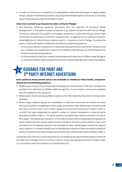$\star$  In order to minimise non-compliance, it is advisable for media planners/buyers to apply a safety margin, based on the historical audience of a programme/media channel. If in doubt, do not place spots in/around said programme/media channel.

#### **What if we wanted to go beyond the letter of the EU Pledge?**

- $\star$  The following additional quidance, developed with the expertise of Accenture Media Management, is intended to enable companies to go beyond compliance with the EU Pledge. In practice, following this guidance will enable companies to avoid advertising in what might commonly be understood as "children's programming", as opposed to the audience thresholdbased definition of "advertising to children under 13" contained in the EU Pledge. To achieve the above, it will be advisable to implement the following additional guidance:
	- Do not use a children's audience as a media planning optimisation mechanism: products that your company has decided not to advertise to children under the age of 13 should ideally have an adult-based planning audience.
	- For those products that your company has decided not to advertise to children under the age of 13, avoid both children's genre programmes and the concentrated day-parts where they appear.

#### **Guidance for print and 3rd party internet advertising 4**

#### **Since audience measurement data is not available or reliable for these media, companies should use the following guidance:**

- $\star$  Media buyers should not purchase advertising space for those products that your company has decided not to advertise to children under the age of 13, in print media or third-party websites that are targeted at this age group.
- $\star$  Media buyers should use local guidance based on print title readership data and net ratings where available.
- $\star$  Where target audience figures are unavailable, an informed assessment of whether the title/ third-party website is targeted at children under 13 should be made. Media buyers should exclude any site or content which, by its nature, appears to be primarily directed to children under 13, or which has been designated by platform owners or content developers as being primarily directed to children under 13. The above guidance on addressing creative execution can help in this regard. This assessment should err on the side of caution.When buying advertising space on social networking sites always seek to ensure that filters are used so that children under 13 are excluded from the advertising that is not intended for them. Media buyers should use relevant topic, keyword, or content classification or identification systems or filters provided by platform owners to avoid placing advertising around content that is primarily directed to children under 13.

Companies will continue to ensure that they are not designing ads that promote products which do not meet the EU Pledge common nutrition criteria in a way that appeals primarily to children under 13, in accordance with the Guidance on Creative Execution.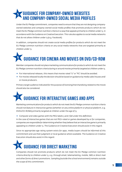#### **Guidance for company-owned websites and company-owned social media profiles 5**

Under the EU Pledge commitment, companies need to ensure that they are not designing companyowned websites and company-owned social media profiles that promote products which do not meet the EU Pledge common nutrition criteria in a way that appeals primarily to children under 13, in accordance with the Guidance on Creative Execution. This rule also applies to social media networks that do not allow children under 13 (e.g. Facebook).

In addition, companies should not create social media profiles for products which do not meet the EU Pledge common nutrition criteria on any social media networks that are targeted primarily at children under 13.

# **Guidance for cinema and movies on DVD/CD-ROM <sup>6</sup>**

Member companies should not place marketing communications for products which do not meet the EU Pledge common nutrition criteria during or around movies primarily targeted at children under 13.

- $\star$  For international releases, this means that movies rated "U" or "PG" should be avoided.
- $\star$  For movies released locally the decision should be based on quidance by media sales houses and/ or movie producers.

Primary target audience indicated for the purpose of licensing/merchandising related to the movie should also be considered.

### **Guidance for interactive games and apps <sup>7</sup>**

Marketing communications for products which do not meet the EU Pledge common nutrition criteria should not feature in interactive games (whether on any online platform or physical platform, e.g. DVDs/CD-ROMs) primarily targeted at children under the age of 13.

 $\star$  Computer and video games with the PEGI labels 3 and 7 fall under this definition.

In the case of interactive games that are not PEGI-rated or games developed by or for companies, companies are responsible for determining whether they believe that an interactive game is primarily appealing to children under 13. The Guidance on Creative Execution should assist in this regard.

Since no appropriate age rating system exists for apps, media buyers should be informed of this commitment and use their judgment or local guidance where available. The Guidance on Creative Execution should also assist in this regard.

# **Guidance for direct marketing <sup>8</sup>**

Companies should not promote products which do not meet the EU Pledge common nutrition criteria directly to children under 13, e.g. through email, telemarketing, mobile, SMS or direct mail and other forms of direct promotions. Sampling (outside the school environment) remains outside the scope of this commitment.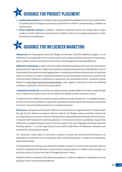# **Guidance for product placement <sup>9</sup>**

- « **Audiovisual content:** In accordance with EU law (Audiovisual Media Services Directive) member companies will not engage in any product placement in children's programming, as defined at national level.
- \* Other editorial content: In addition, member companies should not actively seek to place products in other editorial content aimed at children under 13 in exchange of payment or other promotional consideration.

## **Guidance for influencer marketing <sup>10</sup>**

**Influencers:** For the purposes of the EU Pledge commitment, the EASA definition applies, i.e.: an influencer is an independent third-party endorser who shapes audience attitudes through blogs, posts, tweets, and the use of other social media, including gaming streaming platforms.

**Influencer marketing:** Is a form of social media marketing involving endorsements and product placements from influencers. Influencer marketing usually involves elements of identification of such individuals by the advertiser and engaging them in marketing activities and promotion of the brand and/or its products. In order to determine whether the communication in question is a commercial communication (influencer marketing), as opposed to user-generated content, companies should follow the [EASA Best Practice Recommendation,](https://www.easa-alliance.org/publications/best-practice-recommendation-on-influencer-marketing-guidance_v2022/) with regard in particular to the two defining conditions of editorial control and compensation.

 **Companies should not:** Use influencers whose primary target audience is children under the age of 13 in relation to products which do not fulfil the EU Pledge common nutrition criteria.

To determine if an influencer's primary target audience is under the age of 13, EU pledge members should use the same standard as used for all marketing channels and communications as outlined in Section 1 Overall Guidance and Section 2 Creative Execution.

**Disclosure:** Companies working with influencers whose primary target audience is children under the age of 13 (in relation to products that do meet the EU Pledge common nutrition criteria) will use clear disclosure to avoid confusion among children regarding the promotional nature of a post. Companies will comply with national guidance or, in the absence of such a guidance, request that influencers use #advertising (no shortcut such as #ad) in their own language and always place the hashtag upfront, i.e. at the beginning of a post (EASA's definitions of influencer marketing and commercial communication apply).

For influencers using videos to promote a product or brand we recommend disclosure to be embedded in written format in the space for video title and description, in addition to a hashtag to help track the video.

These guidelines on disclosure go beyond EU Pledge compliance, which will be assessed solely on whether companies use influencers whose primary target audience is children under the age 13 to promote products that do not meet EU Pledge Nutrition Criteria.

Detailed disclosure guidance (the following guidance is without prejudice to applicable national guidance, which should take precedence):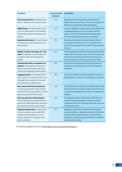| <b>EXAMPLE</b>                                                                                                                                                                         | <b>IS DISCLOSURE</b><br><b>NEEDED?</b> | <b>GUIDANCE</b>                                                                                                                                                                                                                               |
|----------------------------------------------------------------------------------------------------------------------------------------------------------------------------------------|----------------------------------------|-----------------------------------------------------------------------------------------------------------------------------------------------------------------------------------------------------------------------------------------------|
| Paid endorsements: Company works<br>with an influencer on a contract-basis                                                                                                             | <b>YES</b>                             | Marketers should request that influencers use<br>#advertising (no shortcut) in their own language, or<br>follow other applicable national guidelines.                                                                                         |
| Gifted items: Company sends a prod-<br>uct to an influencer for a trial without<br>any specific request to post about the<br>product                                                   | <b>YES</b>                             | As above. Marketers should request that influencers<br>use #advertising (no shortcut) in their own lan-<br>quage, or follow other applicable national guide-<br>lines, if they decide to post about the product.                              |
| <b>Experiences/Events: Company invites</b><br>an influencer to a private event to see<br>new products.                                                                                 | <b>YES</b>                             | Marketers should recommend including: 'thanks<br>to X brand for inviting me' or 'I'm at X event with X<br>brand', "my participation at X event has been paid by<br>X brand".                                                                  |
| Replies or direct messages to a "fol-<br>lower": A follower asks the influencer<br>a question about the brand she/he<br>posted.                                                        | <b>NO</b>                              | When responding to someone's questions about the<br>endorsement via email, text, or direct message that<br>person should already see the previous disclosure -<br>thus a disclosure is not necessary in this context.                         |
| Testimonials with no material con-<br>nection: Company has not sent any<br>product to the influencer and has no<br>contractual relationship with her/him.                              | <b>NO</b>                              | Such practice falls outside the scope of influencer<br>marketing as the brand has no link with the post/<br>influencer.                                                                                                                       |
| Tagging brands: "I received products<br>from a brand, so I'll tag the brand in my<br>Instagram post and assume my audi-<br>ence knows it was given to me".                             | <b>YES</b>                             | If there's a material connection between the brand<br>and influencer, it needs to be specifically mentioned.                                                                                                                                  |
| Non-contractual brand mentions:<br>"I'm doing a photoshoot with a brand<br>and want to show my audience a sneak<br>peek of me on set with the brand."                                  | <b>YES</b>                             | If the influencer is working in a material relationship<br>with the brand and creates content, even if it wasn't<br>a contractually obligated post, they are obligated to<br>disclose.                                                        |
| Paid, but genuine endorsements:<br>"Sure I'm getting free products from the<br>brand, but I REALLY like them and would<br>post about them even if I wasn't paid".                      | <b>YES</b>                             | The audience has the right to know that there is a<br>material connection between the brand and the<br>influencer, even if the influencer genuinely loves and<br>endorses the brand.                                                          |
| <b>Ongoing relationship: Company has</b><br>not sent a product or provided other<br>incentives to the influencer on this<br>specific occasion but regularly sends<br>her/him products. | <b>YES</b>                             | Marketers should inform influencers they (have)<br>work(ed) with (any material connection) that future<br>communication regarding their brands should be<br>labelled accordingly as they will likely be considered<br>promotional activities. |

For further guidance see the [EASA Best Practice Recommendation](https://www.easa-alliance.org/publications/best-practice-recommendation-on-influencer-marketing-guidance_v2022/).